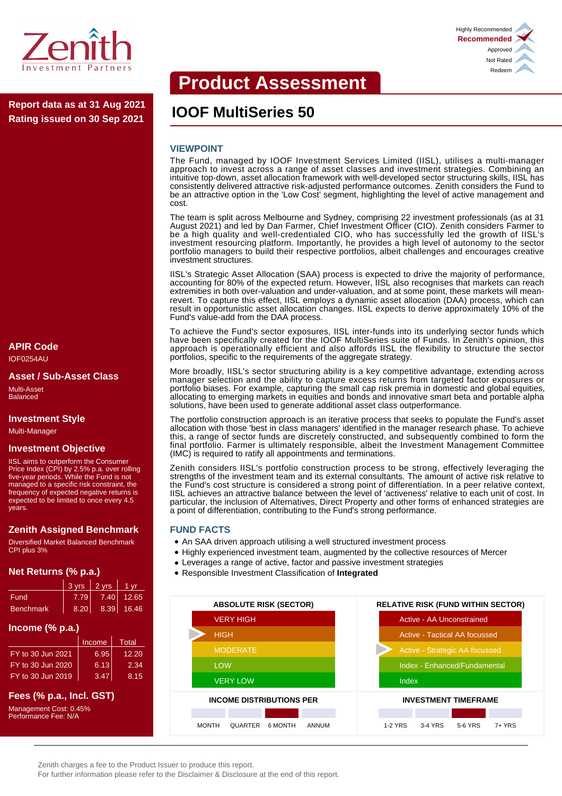

**IOOF MultiSeries 50 Report data as at 31 Aug 2021 Rating issued on 30 Sep 2021**

#### **APIR Code** IOF0254AU

#### **Asset / Sub-Asset Class**

Multi-Asset Balanced

#### **Investment Style**

Multi-Manager

#### **Investment Objective**

IISL aims to outperform the Consumer Price Index (CPI) by 2.5% p.a. over rolling five-year periods. While the Fund is not managed to a specific risk constraint, the frequency of expected negative returns is expected to be limited to once every 4.5 years.

# **Zenith Assigned Benchmark**

Diversified Market Balanced Benchmark CPI plus 3%

# **Net Returns (% p.a.)**

|           | $3 \text{ yrs}$ 2 yrs |      | 1 vr       |
|-----------|-----------------------|------|------------|
| Fund      | 7.79                  | 7.40 | 12.65      |
| Benchmark | 8.20                  |      | 8.39 16.46 |

# **Income (% p.a.)**

|                   | Income | Total |
|-------------------|--------|-------|
| FY to 30 Jun 2021 | 6.95   | 12.20 |
| FY to 30 Jun 2020 | 6.13   | 2.34  |
| FY to 30 Jun 2019 | 3.47   | 8.15  |

# **Fees (% p.a., Incl. GST)**

Management Cost: 0.45% Performance Fee: N/A

# **Product Assessment**

### **VIEWPOINT**

The Fund, managed by IOOF Investment Services Limited (IISL), utilises a multi-manager approach to invest across a range of asset classes and investment strategies. Combining an intuitive top-down, asset allocation framework with well-developed sector structuring skills, IISL has consistently delivered attractive risk-adjusted performance outcomes. Zenith considers the Fund to be an attractive option in the 'Low Cost' segment, highlighting the level of active management and cost.

The team is split across Melbourne and Sydney, comprising 22 investment professionals (as at 31 August 2021) and led by Dan Farmer, Chief Investment Officer (CIO). Zenith considers Farmer to be a high quality and well-credentialed CIO, who has successfully led the growth of IISL's investment resourcing platform. Importantly, he provides a high level of autonomy to the sector portfolio managers to build their respective portfolios, albeit challenges and encourages creative investment structures.

IISL's Strategic Asset Allocation (SAA) process is expected to drive the majority of performance, accounting for 80% of the expected return. However, IISL also recognises that markets can reach extremities in both over-valuation and under-valuation, and at some point, these markets will meanrevert. To capture this effect, IISL employs a dynamic asset allocation (DAA) process, which can result in opportunistic asset allocation changes. IISL expects to derive approximately 10% of the Fund's value-add from the DAA process.

To achieve the Fund's sector exposures, IISL inter-funds into its underlying sector funds which have been specifically created for the IOOF MultiSeries suite of Funds. In Zenith's opinion, this approach is operationally efficient and also affords IISL the flexibility to structure the sector portfolios, specific to the requirements of the aggregate strategy.

More broadly, IISL's sector structuring ability is a key competitive advantage, extending across manager selection and the ability to capture excess returns from targeted factor exposures or portfolio biases. For example, capturing the small cap risk premia in domestic and global equities, allocating to emerging markets in equities and bonds and innovative smart beta and portable alpha solutions, have been used to generate additional asset class outperformance.

The portfolio construction approach is an iterative process that seeks to populate the Fund's asset allocation with those 'best in class managers' identified in the manager research phase. To achieve this, a range of sector funds are discretely constructed, and subsequently combined to form the final portfolio. Farmer is ultimately responsible, albeit the Investment Management Committee (IMC) is required to ratify all appointments and terminations.

Zenith considers IISL's portfolio construction process to be strong, effectively leveraging the strengths of the investment team and its external consultants. The amount of active risk relative to the Fund's cost structure is considered a strong point of differentiation. In a peer relative context, IISL achieves an attractive balance between the level of 'activeness' relative to each unit of cost. In particular, the inclusion of Alternatives, Direct Property and other forms of enhanced strategies are a point of differentiation, contributing to the Fund's strong performance.

#### **FUND FACTS**

- An SAA driven approach utilising a well structured investment process
- Highly experienced investment team, augmented by the collective resources of Mercer
- Leverages a range of active, factor and passive investment strategies
- Responsible Investment Classification of **Integrated**





Zenith charges a fee to the Product Issuer to produce this report.

For further information please refer to the Disclaimer & Disclosure at the end of this report.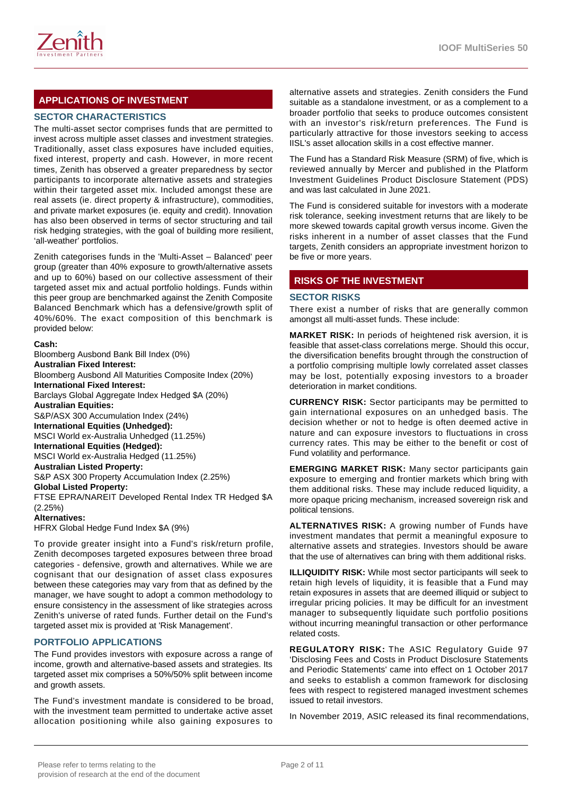

# **APPLICATIONS OF INVESTMENT**

# **SECTOR CHARACTERISTICS**

The multi-asset sector comprises funds that are permitted to invest across multiple asset classes and investment strategies. Traditionally, asset class exposures have included equities, fixed interest, property and cash. However, in more recent times, Zenith has observed a greater preparedness by sector participants to incorporate alternative assets and strategies within their targeted asset mix. Included amongst these are real assets (ie. direct property & infrastructure), commodities, and private market exposures (ie. equity and credit). Innovation has also been observed in terms of sector structuring and tail risk hedging strategies, with the goal of building more resilient, 'all-weather' portfolios.

Zenith categorises funds in the 'Multi-Asset – Balanced' peer group (greater than 40% exposure to growth/alternative assets and up to 60%) based on our collective assessment of their targeted asset mix and actual portfolio holdings. Funds within this peer group are benchmarked against the Zenith Composite Balanced Benchmark which has a defensive/growth split of 40%/60%. The exact composition of this benchmark is provided below:

#### **Cash:**

Bloomberg Ausbond Bank Bill Index (0%) **Australian Fixed Interest:** Bloomberg Ausbond All Maturities Composite Index (20%) **International Fixed Interest:** Barclays Global Aggregate Index Hedged \$A (20%) **Australian Equities:** S&P/ASX 300 Accumulation Index (24%) **International Equities (Unhedged):** MSCI World ex-Australia Unhedged (11.25%) **International Equities (Hedged):** MSCI World ex-Australia Hedged (11.25%) **Australian Listed Property:** S&P ASX 300 Property Accumulation Index (2.25%) **Global Listed Property:** FTSE EPRA/NAREIT Developed Rental Index TR Hedged \$A (2.25%) **Alternatives:** HFRX Global Hedge Fund Index \$A (9%)

To provide greater insight into a Fund's risk/return profile, Zenith decomposes targeted exposures between three broad categories - defensive, growth and alternatives. While we are cognisant that our designation of asset class exposures between these categories may vary from that as defined by the manager, we have sought to adopt a common methodology to ensure consistency in the assessment of like strategies across Zenith's universe of rated funds. Further detail on the Fund's targeted asset mix is provided at 'Risk Management'.

#### **PORTFOLIO APPLICATIONS**

The Fund provides investors with exposure across a range of income, growth and alternative-based assets and strategies. Its targeted asset mix comprises a 50%/50% split between income and growth assets.

The Fund's investment mandate is considered to be broad, with the investment team permitted to undertake active asset allocation positioning while also gaining exposures to

alternative assets and strategies. Zenith considers the Fund suitable as a standalone investment, or as a complement to a broader portfolio that seeks to produce outcomes consistent with an investor's risk/return preferences. The Fund is particularly attractive for those investors seeking to access IISL's asset allocation skills in a cost effective manner.

The Fund has a Standard Risk Measure (SRM) of five, which is reviewed annually by Mercer and published in the Platform Investment Guidelines Product Disclosure Statement (PDS) and was last calculated in June 2021.

The Fund is considered suitable for investors with a moderate risk tolerance, seeking investment returns that are likely to be more skewed towards capital growth versus income. Given the risks inherent in a number of asset classes that the Fund targets, Zenith considers an appropriate investment horizon to be five or more years.

# **RISKS OF THE INVESTMENT**

#### **SECTOR RISKS**

There exist a number of risks that are generally common amongst all multi-asset funds. These include:

**MARKET RISK:** In periods of heightened risk aversion, it is feasible that asset-class correlations merge. Should this occur, the diversification benefits brought through the construction of a portfolio comprising multiple lowly correlated asset classes may be lost, potentially exposing investors to a broader deterioration in market conditions.

**CURRENCY RISK:** Sector participants may be permitted to gain international exposures on an unhedged basis. The decision whether or not to hedge is often deemed active in nature and can exposure investors to fluctuations in cross currency rates. This may be either to the benefit or cost of Fund volatility and performance.

**EMERGING MARKET RISK:** Many sector participants gain exposure to emerging and frontier markets which bring with them additional risks. These may include reduced liquidity, a more opaque pricing mechanism, increased sovereign risk and political tensions.

**ALTERNATIVES RISK:** A growing number of Funds have investment mandates that permit a meaningful exposure to alternative assets and strategies. Investors should be aware that the use of alternatives can bring with them additional risks.

**ILLIQUIDITY RISK:** While most sector participants will seek to retain high levels of liquidity, it is feasible that a Fund may retain exposures in assets that are deemed illiquid or subject to irregular pricing policies. It may be difficult for an investment manager to subsequently liquidate such portfolio positions without incurring meaningful transaction or other performance related costs.

**REGULATORY RISK:** The ASIC Regulatory Guide 97 'Disclosing Fees and Costs in Product Disclosure Statements and Periodic Statements' came into effect on 1 October 2017 and seeks to establish a common framework for disclosing fees with respect to registered managed investment schemes issued to retail investors.

In November 2019, ASIC released its final recommendations,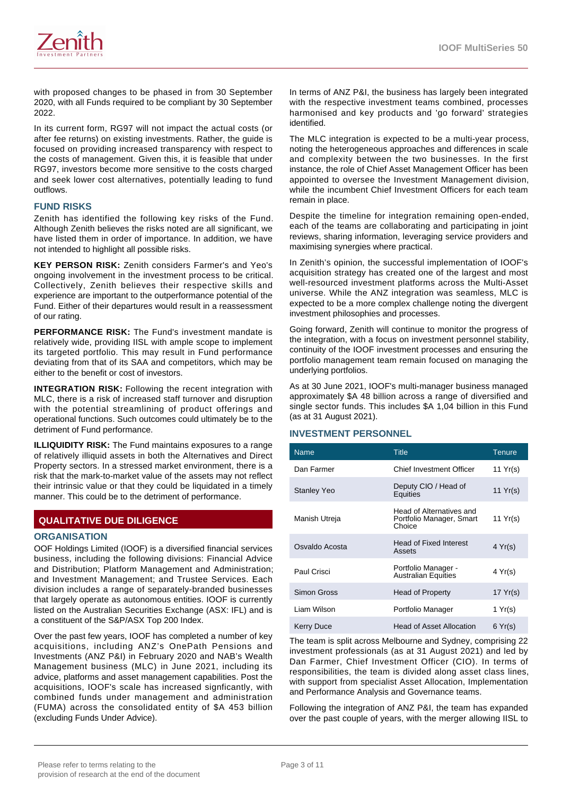

with proposed changes to be phased in from 30 September 2020, with all Funds required to be compliant by 30 September 2022.

In its current form, RG97 will not impact the actual costs (or after fee returns) on existing investments. Rather, the guide is focused on providing increased transparency with respect to the costs of management. Given this, it is feasible that under RG97, investors become more sensitive to the costs charged and seek lower cost alternatives, potentially leading to fund outflows.

#### **FUND RISKS**

Zenith has identified the following key risks of the Fund. Although Zenith believes the risks noted are all significant, we have listed them in order of importance. In addition, we have not intended to highlight all possible risks.

**KEY PERSON RISK:** Zenith considers Farmer's and Yeo's ongoing involvement in the investment process to be critical. Collectively, Zenith believes their respective skills and experience are important to the outperformance potential of the Fund. Either of their departures would result in a reassessment of our rating.

**PERFORMANCE RISK:** The Fund's investment mandate is relatively wide, providing IISL with ample scope to implement its targeted portfolio. This may result in Fund performance deviating from that of its SAA and competitors, which may be either to the benefit or cost of investors.

**INTEGRATION RISK:** Following the recent integration with MLC, there is a risk of increased staff turnover and disruption with the potential streamlining of product offerings and operational functions. Such outcomes could ultimately be to the detriment of Fund performance.

**ILLIQUIDITY RISK:** The Fund maintains exposures to a range of relatively illiquid assets in both the Alternatives and Direct Property sectors. In a stressed market environment, there is a risk that the mark-to-market value of the assets may not reflect their intrinsic value or that they could be liquidated in a timely manner. This could be to the detriment of performance.

# **QUALITATIVE DUE DILIGENCE**

#### **ORGANISATION**

OOF Holdings Limited (IOOF) is a diversified financial services business, including the following divisions: Financial Advice and Distribution; Platform Management and Administration; and Investment Management; and Trustee Services. Each division includes a range of separately-branded businesses that largely operate as autonomous entities. IOOF is currently listed on the Australian Securities Exchange (ASX: IFL) and is a constituent of the S&P/ASX Top 200 Index.

Over the past few years, IOOF has completed a number of key acquisitions, including ANZ's OnePath Pensions and Investments (ANZ P&I) in February 2020 and NAB's Wealth Management business (MLC) in June 2021, including its advice, platforms and asset management capabilities. Post the acquisitions, IOOF's scale has increased signficantly, with combined funds under management and administration (FUMA) across the consolidated entity of \$A 453 billion (excluding Funds Under Advice).

In terms of ANZ P&I, the business has largely been integrated with the respective investment teams combined, processes harmonised and key products and 'go forward' strategies identified.

The MLC integration is expected to be a multi-year process, noting the heterogeneous approaches and differences in scale and complexity between the two businesses. In the first instance, the role of Chief Asset Management Officer has been appointed to oversee the Investment Management division, while the incumbent Chief Investment Officers for each team remain in place.

Despite the timeline for integration remaining open-ended, each of the teams are collaborating and participating in joint reviews, sharing information, leveraging service providers and maximising synergies where practical.

In Zenith's opinion, the successful implementation of IOOF's acquisition strategy has created one of the largest and most well-resourced investment platforms across the Multi-Asset universe. While the ANZ integration was seamless, MLC is expected to be a more complex challenge noting the divergent investment philosophies and processes.

Going forward, Zenith will continue to monitor the progress of the integration, with a focus on investment personnel stability, continuity of the IOOF investment processes and ensuring the portfolio management team remain focused on managing the underlying portfolios.

As at 30 June 2021, IOOF's multi-manager business managed approximately \$A 48 billion across a range of diversified and single sector funds. This includes \$A 1,04 billion in this Fund (as at 31 August 2021).

#### **INVESTMENT PERSONNEL**

| <b>Name</b>        | <b>Title</b>                                                   | <b>Tenure</b> |
|--------------------|----------------------------------------------------------------|---------------|
| Dan Farmer         | Chief Investment Officer                                       | 11 $Yr(s)$    |
| <b>Stanley Yeo</b> | Deputy CIO / Head of<br>Equities                               | 11 $Yr(s)$    |
| Manish Utreja      | Head of Alternatives and<br>Portfolio Manager, Smart<br>Choice | 11 Yr(s)      |
| Osvaldo Acosta     | <b>Head of Fixed Interest</b><br>Assets                        | 4 Yr(s)       |
| Paul Crisci        | Portfolio Manager -<br><b>Australian Equities</b>              | 4 Yr(s)       |
| Simon Gross        | Head of Property                                               | 17 Yr(s)      |
| Liam Wilson        | Portfolio Manager                                              | 1 Yr(s)       |
| Kerry Duce         | <b>Head of Asset Allocation</b>                                | 6 Yr(s)       |

The team is split across Melbourne and Sydney, comprising 22 investment professionals (as at 31 August 2021) and led by Dan Farmer, Chief Investment Officer (CIO). In terms of responsibilities, the team is divided along asset class lines, with support from specialist Asset Allocation, Implementation and Performance Analysis and Governance teams.

Following the integration of ANZ P&I, the team has expanded over the past couple of years, with the merger allowing IISL to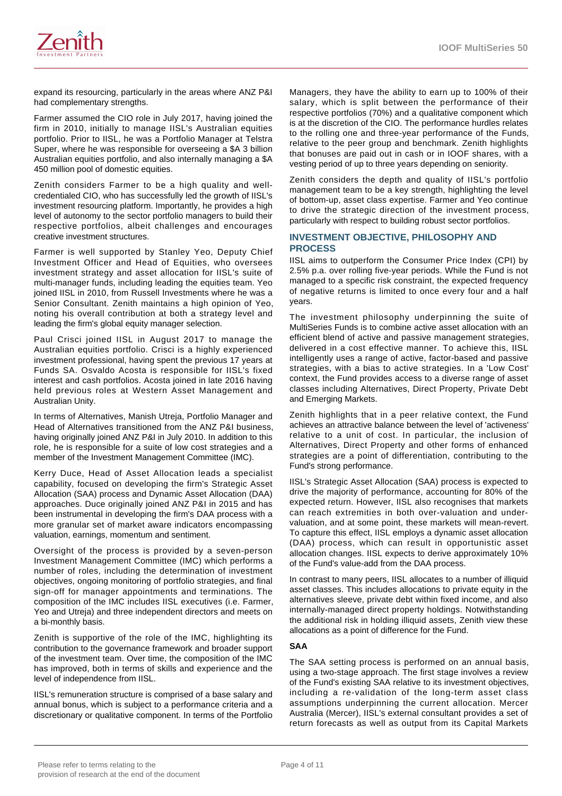

expand its resourcing, particularly in the areas where ANZ P&I had complementary strengths.

Farmer assumed the CIO role in July 2017, having joined the firm in 2010, initially to manage IISL's Australian equities portfolio. Prior to IISL, he was a Portfolio Manager at Telstra Super, where he was responsible for overseeing a \$A 3 billion Australian equities portfolio, and also internally managing a \$A 450 million pool of domestic equities.

Zenith considers Farmer to be a high quality and wellcredentialed CIO, who has successfully led the growth of IISL's investment resourcing platform. Importantly, he provides a high level of autonomy to the sector portfolio managers to build their respective portfolios, albeit challenges and encourages creative investment structures.

Farmer is well supported by Stanley Yeo, Deputy Chief Investment Officer and Head of Equities, who oversees investment strategy and asset allocation for IISL's suite of multi-manager funds, including leading the equities team. Yeo joined IISL in 2010, from Russell Investments where he was a Senior Consultant. Zenith maintains a high opinion of Yeo, noting his overall contribution at both a strategy level and leading the firm's global equity manager selection.

Paul Crisci joined IISL in August 2017 to manage the Australian equities portfolio. Crisci is a highly experienced investment professional, having spent the previous 17 years at Funds SA. Osvaldo Acosta is responsible for IISL's fixed interest and cash portfolios. Acosta joined in late 2016 having held previous roles at Western Asset Management and Australian Unity.

In terms of Alternatives, Manish Utreja, Portfolio Manager and Head of Alternatives transitioned from the ANZ P&I business, having originally joined ANZ P&I in July 2010. In addition to this role, he is responsible for a suite of low cost strategies and a member of the Investment Management Committee (IMC).

Kerry Duce, Head of Asset Allocation leads a specialist capability, focused on developing the firm's Strategic Asset Allocation (SAA) process and Dynamic Asset Allocation (DAA) approaches. Duce originally joined ANZ P&I in 2015 and has been instrumental in developing the firm's DAA process with a more granular set of market aware indicators encompassing valuation, earnings, momentum and sentiment.

Oversight of the process is provided by a seven-person Investment Management Committee (IMC) which performs a number of roles, including the determination of investment objectives, ongoing monitoring of portfolio strategies, and final sign-off for manager appointments and terminations. The composition of the IMC includes IISL executives (i.e. Farmer, Yeo and Utreja) and three independent directors and meets on a bi-monthly basis.

Zenith is supportive of the role of the IMC, highlighting its contribution to the governance framework and broader support of the investment team. Over time, the composition of the IMC has improved, both in terms of skills and experience and the level of independence from IISL.

IISL's remuneration structure is comprised of a base salary and annual bonus, which is subject to a performance criteria and a discretionary or qualitative component. In terms of the Portfolio

Managers, they have the ability to earn up to 100% of their salary, which is split between the performance of their respective portfolios (70%) and a qualitative component which is at the discretion of the CIO. The performance hurdles relates to the rolling one and three-year performance of the Funds, relative to the peer group and benchmark. Zenith highlights that bonuses are paid out in cash or in IOOF shares, with a vesting period of up to three years depending on seniority.

Zenith considers the depth and quality of IISL's portfolio management team to be a key strength, highlighting the level of bottom-up, asset class expertise. Farmer and Yeo continue to drive the strategic direction of the investment process, particularly with respect to building robust sector portfolios.

#### **INVESTMENT OBJECTIVE, PHILOSOPHY AND PROCESS**

IISL aims to outperform the Consumer Price Index (CPI) by 2.5% p.a. over rolling five-year periods. While the Fund is not managed to a specific risk constraint, the expected frequency of negative returns is limited to once every four and a half years.

The investment philosophy underpinning the suite of MultiSeries Funds is to combine active asset allocation with an efficient blend of active and passive management strategies, delivered in a cost effective manner. To achieve this, IISL intelligently uses a range of active, factor-based and passive strategies, with a bias to active strategies. In a 'Low Cost' context, the Fund provides access to a diverse range of asset classes including Alternatives, Direct Property, Private Debt and Emerging Markets.

Zenith highlights that in a peer relative context, the Fund achieves an attractive balance between the level of 'activeness' relative to a unit of cost. In particular, the inclusion of Alternatives, Direct Property and other forms of enhanced strategies are a point of differentiation, contributing to the Fund's strong performance.

IISL's Strategic Asset Allocation (SAA) process is expected to drive the majority of performance, accounting for 80% of the expected return. However, IISL also recognises that markets can reach extremities in both over-valuation and undervaluation, and at some point, these markets will mean-revert. To capture this effect, IISL employs a dynamic asset allocation (DAA) process, which can result in opportunistic asset allocation changes. IISL expects to derive approximately 10% of the Fund's value-add from the DAA process.

In contrast to many peers, IISL allocates to a number of illiquid asset classes. This includes allocations to private equity in the alternatives sleeve, private debt within fixed income, and also internally-managed direct property holdings. Notwithstanding the additional risk in holding illiquid assets, Zenith view these allocations as a point of difference for the Fund.

#### **SAA**

The SAA setting process is performed on an annual basis, using a two-stage approach. The first stage involves a review of the Fund's existing SAA relative to its investment objectives, including a re-validation of the long-term asset class assumptions underpinning the current allocation. Mercer Australia (Mercer), IISL's external consultant provides a set of return forecasts as well as output from its Capital Markets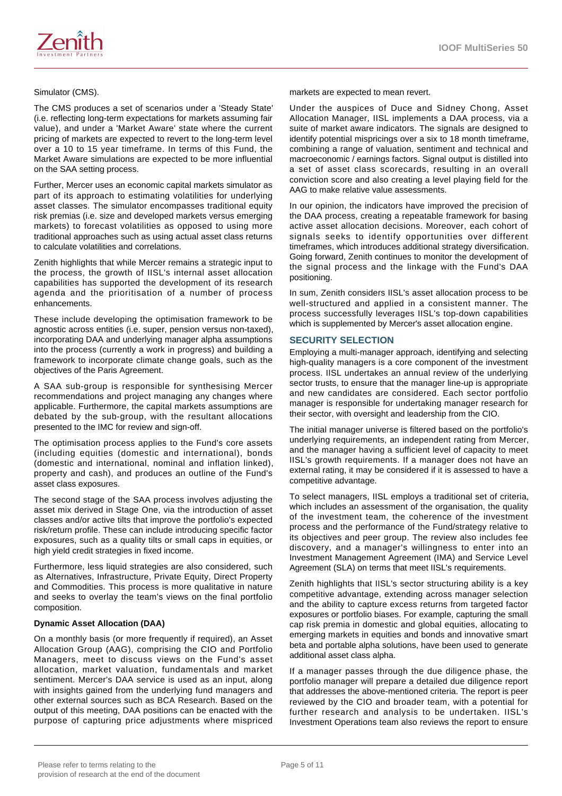

The CMS produces a set of scenarios under a 'Steady State' (i.e. reflecting long-term expectations for markets assuming fair value), and under a 'Market Aware' state where the current pricing of markets are expected to revert to the long-term level over a 10 to 15 year timeframe. In terms of this Fund, the Market Aware simulations are expected to be more influential on the SAA setting process.

Further, Mercer uses an economic capital markets simulator as part of its approach to estimating volatilities for underlying asset classes. The simulator encompasses traditional equity risk premias (i.e. size and developed markets versus emerging markets) to forecast volatilities as opposed to using more traditional approaches such as using actual asset class returns to calculate volatilities and correlations.

Zenith highlights that while Mercer remains a strategic input to the process, the growth of IISL's internal asset allocation capabilities has supported the development of its research agenda and the prioritisation of a number of process enhancements.

These include developing the optimisation framework to be agnostic across entities (i.e. super, pension versus non-taxed), incorporating DAA and underlying manager alpha assumptions into the process (currently a work in progress) and building a framework to incorporate climate change goals, such as the objectives of the Paris Agreement.

A SAA sub-group is responsible for synthesising Mercer recommendations and project managing any changes where applicable. Furthermore, the capital markets assumptions are debated by the sub-group, with the resultant allocations presented to the IMC for review and sign-off.

The optimisation process applies to the Fund's core assets (including equities (domestic and international), bonds (domestic and international, nominal and inflation linked), property and cash), and produces an outline of the Fund's asset class exposures.

The second stage of the SAA process involves adjusting the asset mix derived in Stage One, via the introduction of asset classes and/or active tilts that improve the portfolio's expected risk/return profile. These can include introducing specific factor exposures, such as a quality tilts or small caps in equities, or high yield credit strategies in fixed income.

Furthermore, less liquid strategies are also considered, such as Alternatives, Infrastructure, Private Equity, Direct Property and Commodities. This process is more qualitative in nature and seeks to overlay the team's views on the final portfolio composition.

#### **Dynamic Asset Allocation (DAA)**

On a monthly basis (or more frequently if required), an Asset Allocation Group (AAG), comprising the CIO and Portfolio Managers, meet to discuss views on the Fund's asset allocation, market valuation, fundamentals and market sentiment. Mercer's DAA service is used as an input, along with insights gained from the underlying fund managers and other external sources such as BCA Research. Based on the output of this meeting, DAA positions can be enacted with the purpose of capturing price adjustments where mispriced

markets are expected to mean revert.

Under the auspices of Duce and Sidney Chong, Asset Allocation Manager, IISL implements a DAA process, via a suite of market aware indicators. The signals are designed to identify potential mispricings over a six to 18 month timeframe, combining a range of valuation, sentiment and technical and macroeconomic / earnings factors. Signal output is distilled into a set of asset class scorecards, resulting in an overall conviction score and also creating a level playing field for the AAG to make relative value assessments.

In our opinion, the indicators have improved the precision of the DAA process, creating a repeatable framework for basing active asset allocation decisions. Moreover, each cohort of signals seeks to identify opportunities over different timeframes, which introduces additional strategy diversification. Going forward, Zenith continues to monitor the development of the signal process and the linkage with the Fund's DAA positioning.

In sum, Zenith considers IISL's asset allocation process to be well-structured and applied in a consistent manner. The process successfully leverages IISL's top-down capabilities which is supplemented by Mercer's asset allocation engine.

# **SECURITY SELECTION**

Employing a multi-manager approach, identifying and selecting high-quality managers is a core component of the investment process. IISL undertakes an annual review of the underlying sector trusts, to ensure that the manager line-up is appropriate and new candidates are considered. Each sector portfolio manager is responsible for undertaking manager research for their sector, with oversight and leadership from the CIO.

The initial manager universe is filtered based on the portfolio's underlying requirements, an independent rating from Mercer, and the manager having a sufficient level of capacity to meet IISL's growth requirements. If a manager does not have an external rating, it may be considered if it is assessed to have a competitive advantage.

To select managers, IISL employs a traditional set of criteria, which includes an assessment of the organisation, the quality of the investment team, the coherence of the investment process and the performance of the Fund/strategy relative to its objectives and peer group. The review also includes fee discovery, and a manager's willingness to enter into an Investment Management Agreement (IMA) and Service Level Agreement (SLA) on terms that meet IISL's requirements.

Zenith highlights that IISL's sector structuring ability is a key competitive advantage, extending across manager selection and the ability to capture excess returns from targeted factor exposures or portfolio biases. For example, capturing the small cap risk premia in domestic and global equities, allocating to emerging markets in equities and bonds and innovative smart beta and portable alpha solutions, have been used to generate additional asset class alpha.

If a manager passes through the due diligence phase, the portfolio manager will prepare a detailed due diligence report that addresses the above-mentioned criteria. The report is peer reviewed by the CIO and broader team, with a potential for further research and analysis to be undertaken. IISL's Investment Operations team also reviews the report to ensure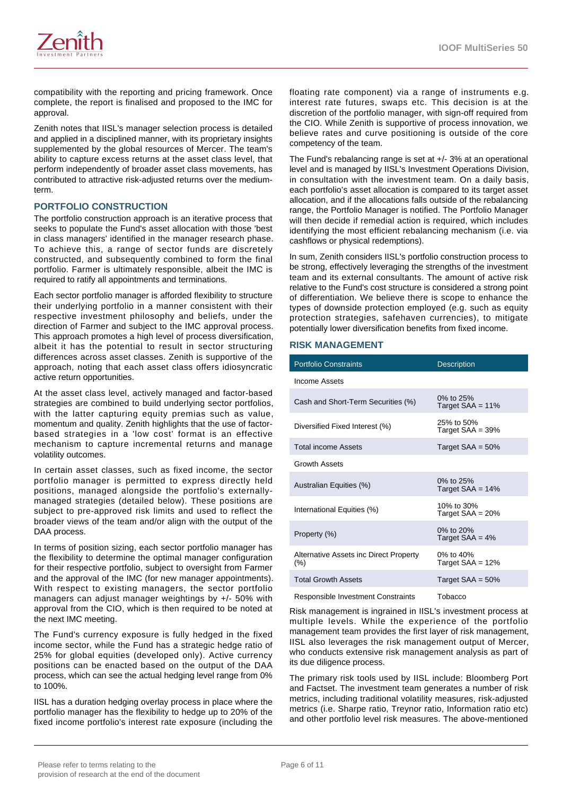

compatibility with the reporting and pricing framework. Once complete, the report is finalised and proposed to the IMC for approval.

Zenith notes that IISL's manager selection process is detailed and applied in a disciplined manner, with its proprietary insights supplemented by the global resources of Mercer. The team's ability to capture excess returns at the asset class level, that perform independently of broader asset class movements, has contributed to attractive risk-adjusted returns over the mediumterm.

### **PORTFOLIO CONSTRUCTION**

The portfolio construction approach is an iterative process that seeks to populate the Fund's asset allocation with those 'best in class managers' identified in the manager research phase. To achieve this, a range of sector funds are discretely constructed, and subsequently combined to form the final portfolio. Farmer is ultimately responsible, albeit the IMC is required to ratify all appointments and terminations.

Each sector portfolio manager is afforded flexibility to structure their underlying portfolio in a manner consistent with their respective investment philosophy and beliefs, under the direction of Farmer and subject to the IMC approval process. This approach promotes a high level of process diversification, albeit it has the potential to result in sector structuring differences across asset classes. Zenith is supportive of the approach, noting that each asset class offers idiosyncratic active return opportunities.

At the asset class level, actively managed and factor-based strategies are combined to build underlying sector portfolios, with the latter capturing equity premias such as value, momentum and quality. Zenith highlights that the use of factorbased strategies in a 'low cost' format is an effective mechanism to capture incremental returns and manage volatility outcomes.

In certain asset classes, such as fixed income, the sector portfolio manager is permitted to express directly held positions, managed alongside the portfolio's externallymanaged strategies (detailed below). These positions are subject to pre-approved risk limits and used to reflect the broader views of the team and/or align with the output of the DAA process.

In terms of position sizing, each sector portfolio manager has the flexibility to determine the optimal manager configuration for their respective portfolio, subject to oversight from Farmer and the approval of the IMC (for new manager appointments). With respect to existing managers, the sector portfolio managers can adjust manager weightings by +/- 50% with approval from the CIO, which is then required to be noted at the next IMC meeting.

The Fund's currency exposure is fully hedged in the fixed income sector, while the Fund has a strategic hedge ratio of 25% for global equities (developed only). Active currency positions can be enacted based on the output of the DAA process, which can see the actual hedging level range from 0% to 100%.

IISL has a duration hedging overlay process in place where the portfolio manager has the flexibility to hedge up to 20% of the fixed income portfolio's interest rate exposure (including the floating rate component) via a range of instruments e.g. interest rate futures, swaps etc. This decision is at the discretion of the portfolio manager, with sign-off required from the CIO. While Zenith is supportive of process innovation, we believe rates and curve positioning is outside of the core competency of the team.

The Fund's rebalancing range is set at +/- 3% at an operational level and is managed by IISL's Investment Operations Division, in consultation with the investment team. On a daily basis, each portfolio's asset allocation is compared to its target asset allocation, and if the allocations falls outside of the rebalancing range, the Portfolio Manager is notified. The Portfolio Manager will then decide if remedial action is required, which includes identifying the most efficient rebalancing mechanism (i.e. via cashflows or physical redemptions).

In sum, Zenith considers IISL's portfolio construction process to be strong, effectively leveraging the strengths of the investment team and its external consultants. The amount of active risk relative to the Fund's cost structure is considered a strong point of differentiation. We believe there is scope to enhance the types of downside protection employed (e.g. such as equity protection strategies, safehaven currencies), to mitigate potentially lower diversification benefits from fixed income.

#### **RISK MANAGEMENT**

| <b>Portfolio Constraints</b>                     | <b>Description</b>                |
|--------------------------------------------------|-----------------------------------|
| Income Assets                                    |                                   |
| Cash and Short-Term Securities (%)               | 0% to 25%<br>Target $SAA = 11%$   |
| Diversified Fixed Interest (%)                   | 25% to 50%<br>Target $SAA = 39\%$ |
| <b>Total income Assets</b>                       | Target $SAA = 50%$                |
| <b>Growth Assets</b>                             |                                   |
| Australian Equities (%)                          | 0% to $25%$<br>Target $SAA = 14%$ |
| International Equities (%)                       | 10% to 30%<br>Target $SAA = 20%$  |
| Property (%)                                     | 0% to 20%<br>Target $SAA = 4%$    |
| Alternative Assets inc Direct Property<br>$(\%)$ | 0% to 40%<br>Target $SAA = 12%$   |
| <b>Total Growth Assets</b>                       | Target $SAA = 50%$                |
| Responsible Investment Constraints               | Tobacco                           |

Risk management is ingrained in IISL's investment process at multiple levels. While the experience of the portfolio management team provides the first layer of risk management, IISL also leverages the risk management output of Mercer, who conducts extensive risk management analysis as part of its due diligence process.

The primary risk tools used by IISL include: Bloomberg Port and Factset. The investment team generates a number of risk metrics, including traditional volatility measures, risk-adjusted metrics (i.e. Sharpe ratio, Treynor ratio, Information ratio etc) and other portfolio level risk measures. The above-mentioned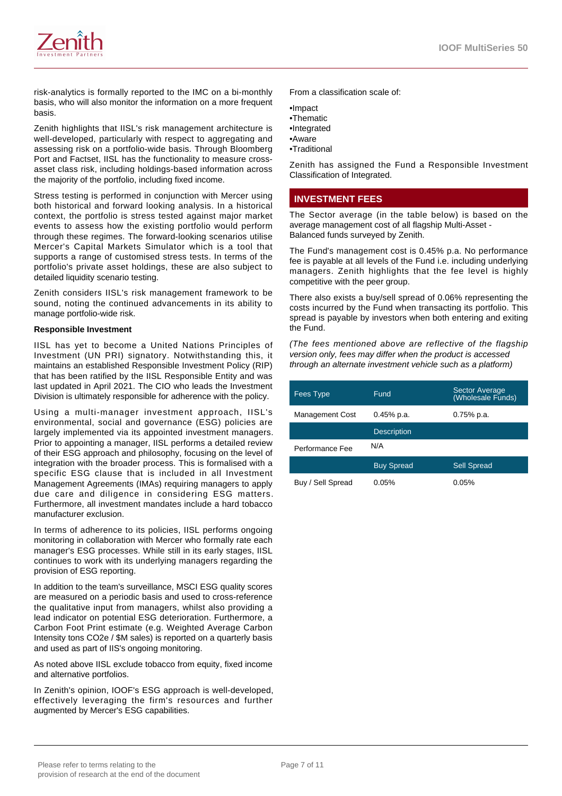

risk-analytics is formally reported to the IMC on a bi-monthly basis, who will also monitor the information on a more frequent basis.

Zenith highlights that IISL's risk management architecture is well-developed, particularly with respect to aggregating and assessing risk on a portfolio-wide basis. Through Bloomberg Port and Factset, IISL has the functionality to measure crossasset class risk, including holdings-based information across the majority of the portfolio, including fixed income.

Stress testing is performed in conjunction with Mercer using both historical and forward looking analysis. In a historical context, the portfolio is stress tested against major market events to assess how the existing portfolio would perform through these regimes. The forward-looking scenarios utilise Mercer's Capital Markets Simulator which is a tool that supports a range of customised stress tests. In terms of the portfolio's private asset holdings, these are also subject to detailed liquidity scenario testing.

Zenith considers IISL's risk management framework to be sound, noting the continued advancements in its ability to manage portfolio-wide risk.

#### **Responsible Investment**

IISL has yet to become a United Nations Principles of Investment (UN PRI) signatory. Notwithstanding this, it maintains an established Responsible Investment Policy (RIP) that has been ratified by the IISL Responsible Entity and was last updated in April 2021. The CIO who leads the Investment Division is ultimately responsible for adherence with the policy.

Using a multi-manager investment approach, IISL's environmental, social and governance (ESG) policies are largely implemented via its appointed investment managers. Prior to appointing a manager, IISL performs a detailed review of their ESG approach and philosophy, focusing on the level of integration with the broader process. This is formalised with a specific ESG clause that is included in all Investment Management Agreements (IMAs) requiring managers to apply due care and diligence in considering ESG matters. Furthermore, all investment mandates include a hard tobacco manufacturer exclusion.

In terms of adherence to its policies, IISL performs ongoing monitoring in collaboration with Mercer who formally rate each manager's ESG processes. While still in its early stages, IISL continues to work with its underlying managers regarding the provision of ESG reporting.

In addition to the team's surveillance, MSCI ESG quality scores are measured on a periodic basis and used to cross-reference the qualitative input from managers, whilst also providing a lead indicator on potential ESG deterioration. Furthermore, a Carbon Foot Print estimate (e.g. Weighted Average Carbon Intensity tons CO2e / \$M sales) is reported on a quarterly basis and used as part of IIS's ongoing monitoring.

As noted above IISL exclude tobacco from equity, fixed income and alternative portfolios.

In Zenith's opinion, IOOF's ESG approach is well-developed, effectively leveraging the firm's resources and further augmented by Mercer's ESG capabilities.

From a classification scale of:

•Impact

- •Thematic
- •Integrated
- •Aware
- •Traditional

Zenith has assigned the Fund a Responsible Investment Classification of Integrated.

# **INVESTMENT FEES**

The Sector average (in the table below) is based on the average management cost of all flagship Multi-Asset - Balanced funds surveyed by Zenith.

The Fund's management cost is 0.45% p.a. No performance fee is payable at all levels of the Fund i.e. including underlying managers. Zenith highlights that the fee level is highly competitive with the peer group.

There also exists a buy/sell spread of 0.06% representing the costs incurred by the Fund when transacting its portfolio. This spread is payable by investors when both entering and exiting the Fund.

(The fees mentioned above are reflective of the flagship version only, fees may differ when the product is accessed through an alternate investment vehicle such as a platform)

| <b>Fees Type</b>       | Fund               | <b>Sector Average</b><br>(Wholesale Funds) |
|------------------------|--------------------|--------------------------------------------|
| <b>Management Cost</b> | 0.45% p.a.         | $0.75%$ p.a.                               |
|                        | <b>Description</b> |                                            |
| Performance Fee        | N/A                |                                            |
|                        | <b>Buy Spread</b>  | <b>Sell Spread</b>                         |
| Buy / Sell Spread      | 0.05%              | 0.05%                                      |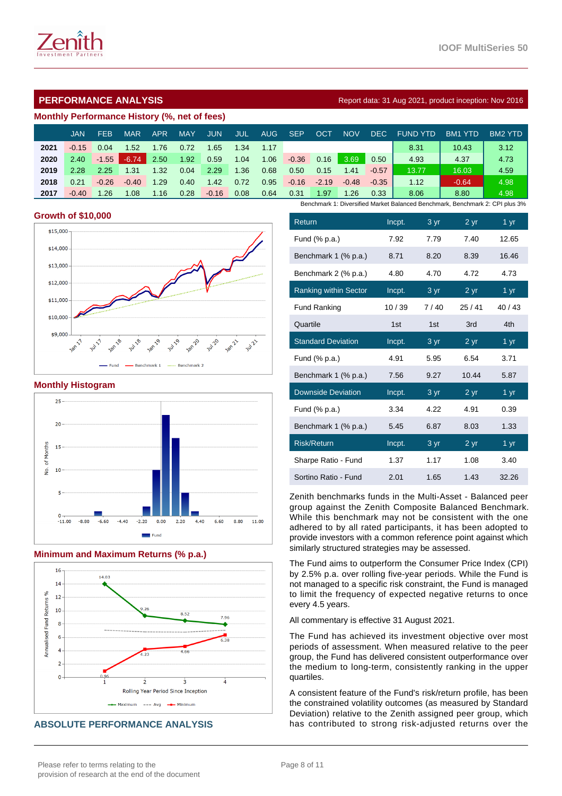

# **Monthly Performance History (%, net of fees)**

|      | <b>JAN</b> | FEB     | <b>MAR</b> | <b>APR</b> | <b>MAY</b> | <b>JUN</b> | <b>JUL</b> | <b>AUG</b> | <b>SEP</b> | OC1     | NOV     | DEC.    | <b>FUND YTD</b>                                                              | BM <sub>1</sub><br>YTD | BM2 YTD |
|------|------------|---------|------------|------------|------------|------------|------------|------------|------------|---------|---------|---------|------------------------------------------------------------------------------|------------------------|---------|
| 2021 | $-0.15$    | 0.04    | 1.52       | 1.76       | 0.72       | 1.65       | 1.34       | 1.17       |            |         |         |         | 8.31                                                                         | 10.43                  | 3.12    |
| 2020 | 2.40       | $-1.55$ | $-6.74$    | 2.50       | 1.92       | 0.59       | 1.04       | 1.06       | $-0.36$    | 0.16    | 3.69    | 0.50    | 4.93                                                                         | 4.37                   | 4.73    |
| 2019 | 2.28       | 2.25    | 1.31       | 1.32       | 0.04       | 2.29       | 1.36       | 0.68       | 0.50       | 0.15    | 1.41    | $-0.57$ | 13.77                                                                        | 16.03                  | 4.59    |
| 2018 | 0.21       | $-0.26$ | $-0.40$    | 1.29       | 0.40       | 1.42       | 0.72       | 0.95       | $-0.16$    | $-2.19$ | $-0.48$ | $-0.35$ | 1.12                                                                         | $-0.64$                | 4.98    |
| 2017 | $-0.40$    | 1.26    | 1.08       | 1.16       | 0.28       | $-0.16$    | 0.08       | 0.64       | 0.31       | 1.97    | 1.26    | 0.33    | 8.06                                                                         | 8.80                   | 4.98    |
|      |            |         |            |            |            |            |            |            |            |         |         |         | Benchmark 1: Diversified Market Balanced Benchmark, Benchmark 2: CPI plus 3% |                        |         |

#### **Growth of \$10,000**



#### **Monthly Histogram**



#### **Minimum and Maximum Returns (% p.a.)**



# **ABSOLUTE PERFORMANCE ANALYSIS**

| Return                       | Incpt. | 3 yr            | 2 yr  | 1 <sub>yr</sub> |
|------------------------------|--------|-----------------|-------|-----------------|
| Fund (% p.a.)                | 7.92   | 7.79            | 7.40  | 12.65           |
| Benchmark 1 (% p.a.)         | 8.71   | 8.20            | 8.39  | 16.46           |
| Benchmark 2 (% p.a.)         | 4.80   | 4.70            | 4.72  | 4.73            |
| <b>Ranking within Sector</b> | Incpt. | 3 yr            | 2 yr  | 1 yr            |
| <b>Fund Ranking</b>          | 10/39  | 7/40            | 25/41 | 40/43           |
| Quartile                     | 1st    | 1st             | 3rd   | 4th             |
| <b>Standard Deviation</b>    | Incpt. | 3 yr            | 2 yr  | 1 yr            |
| Fund (% p.a.)                | 4.91   | 5.95            | 6.54  | 3.71            |
| Benchmark 1 (% p.a.)         | 7.56   | 9.27            | 10.44 | 5.87            |
| <b>Downside Deviation</b>    | Incpt. | 3 <sub>yr</sub> | 2 yr  | 1 yr            |
| Fund (% p.a.)                | 3.34   | 4.22            | 4.91  | 0.39            |
| Benchmark 1 (% p.a.)         | 5.45   | 6.87            | 8.03  | 1.33            |
| <b>Risk/Return</b>           | Incpt. | 3 yr            | 2 yr  | 1 <sub>yr</sub> |
| Sharpe Ratio - Fund          | 1.37   | 1.17            | 1.08  | 3.40            |
| Sortino Ratio - Fund         | 2.01   | 1.65            | 1.43  | 32.26           |

Zenith benchmarks funds in the Multi-Asset - Balanced peer group against the Zenith Composite Balanced Benchmark. While this benchmark may not be consistent with the one adhered to by all rated participants, it has been adopted to provide investors with a common reference point against which similarly structured strategies may be assessed.

The Fund aims to outperform the Consumer Price Index (CPI) by 2.5% p.a. over rolling five-year periods. While the Fund is not managed to a specific risk constraint, the Fund is managed to limit the frequency of expected negative returns to once every 4.5 years.

All commentary is effective 31 August 2021.

The Fund has achieved its investment objective over most periods of assessment. When measured relative to the peer group, the Fund has delivered consistent outperformance over the medium to long-term, consistently ranking in the upper quartiles.

A consistent feature of the Fund's risk/return profile, has been the constrained volatility outcomes (as measured by Standard Deviation) relative to the Zenith assigned peer group, which has contributed to strong risk-adjusted returns over the

# **PERFORMANCE ANALYSIS Report data: 31 Aug 2021, product inception: Nov 2016**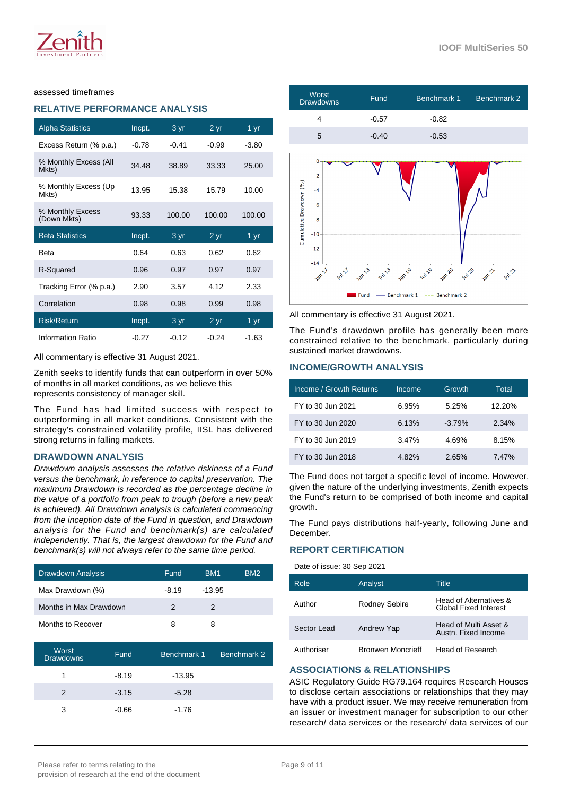#### assessed timeframes

# **RELATIVE PERFORMANCE ANALYSIS**

| <b>Alpha Statistics</b>         | Incpt.  | 3 yr    | 2 yr      | 1 $\overline{yr}$ |
|---------------------------------|---------|---------|-----------|-------------------|
| Excess Return (% p.a.)          | $-0.78$ | $-0.41$ | $-0.99$   | $-3.80$           |
| % Monthly Excess (All<br>Mkts)  | 34.48   | 38.89   | 33.33     | 25.00             |
| % Monthly Excess (Up<br>Mkts)   | 13.95   | 15.38   | 15.79     | 10.00             |
| % Monthly Excess<br>(Down Mkts) | 93.33   | 100.00  | 100.00    | 100.00            |
|                                 |         |         |           |                   |
| <b>Beta Statistics</b>          | Incpt.  | 3 yr    | $2 \, yr$ | 1 yr              |
| Beta                            | 0.64    | 0.63    | 0.62      | 0.62              |
| R-Squared                       | 0.96    | 0.97    | 0.97      | 0.97              |
| Tracking Error (% p.a.)         | 2.90    | 3.57    | 4.12      | 2.33              |
| Correlation                     | 0.98    | 0.98    | 0.99      | 0.98              |
| <b>Risk/Return</b>              | Incpt.  | 3 yr    | 2 yr      | 1 yr              |

All commentary is effective 31 August 2021.

Zenith seeks to identify funds that can outperform in over 50% of months in all market conditions, as we believe this represents consistency of manager skill.

The Fund has had limited success with respect to outperforming in all market conditions. Consistent with the strategy's constrained volatility profile, IISL has delivered strong returns in falling markets.

#### **DRAWDOWN ANALYSIS**

Drawdown analysis assesses the relative riskiness of a Fund versus the benchmark, in reference to capital preservation. The maximum Drawdown is recorded as the percentage decline in the value of a portfolio from peak to trough (before a new peak is achieved). All Drawdown analysis is calculated commencing from the inception date of the Fund in question, and Drawdown analysis for the Fund and benchmark(s) are calculated independently. That is, the largest drawdown for the Fund and benchmark(s) will not always refer to the same time period.

| Drawdown Analysis      | Fund    | BM <sub>1</sub> | BM <sub>2</sub> |
|------------------------|---------|-----------------|-----------------|
| Max Drawdown (%)       | $-8.19$ | $-13.95$        |                 |
| Months in Max Drawdown | 2       | 2               |                 |
| Months to Recover      | 8       | 8               |                 |

| Worst<br><b>Drawdowns</b> | Fund    | Benchmark 1 | Benchmark 2 |
|---------------------------|---------|-------------|-------------|
|                           | $-8.19$ | $-13.95$    |             |
| $\mathcal{P}$             | $-3.15$ | $-5.28$     |             |
| ٩                         | $-0.66$ | $-1.76$     |             |



All commentary is effective 31 August 2021.

Fund

The Fund's drawdown profile has generally been more constrained relative to the benchmark, particularly during sustained market drawdowns.

Benchmark 1

Benchmark 2

# **INCOME/GROWTH ANALYSIS**

| Income / Growth Returns | Income | Growth   | Total  |
|-------------------------|--------|----------|--------|
| FY to 30 Jun 2021       | 6.95%  | 5.25%    | 12.20% |
| FY to 30 Jun 2020       | 6.13%  | $-3.79%$ | 2.34%  |
| FY to 30 Jun 2019       | 3.47%  | 4.69%    | 8.15%  |
| FY to 30 Jun 2018       | 4.82%  | 2.65%    | 7.47%  |

The Fund does not target a specific level of income. However, given the nature of the underlying investments, Zenith expects the Fund's return to be comprised of both income and capital growth

The Fund pays distributions half-yearly, following June and December.

# **REPORT CERTIFICATION**

Date of issue: 30 Sep 2021

| Role        | Analyst                  | Title                                                  |
|-------------|--------------------------|--------------------------------------------------------|
| Author      | Rodney Sebire            | Head of Alternatives &<br><b>Global Fixed Interest</b> |
| Sector Lead | Andrew Yap               | Head of Multi Asset &<br>Austn. Fixed Income           |
| Authoriser  | <b>Bronwen Moncrieff</b> | Head of Research                                       |

# **ASSOCIATIONS & RELATIONSHIPS**

ASIC Regulatory Guide RG79.164 requires Research Houses to disclose certain associations or relationships that they may have with a product issuer. We may receive remuneration from an issuer or investment manager for subscription to our other research/ data services or the research/ data services of our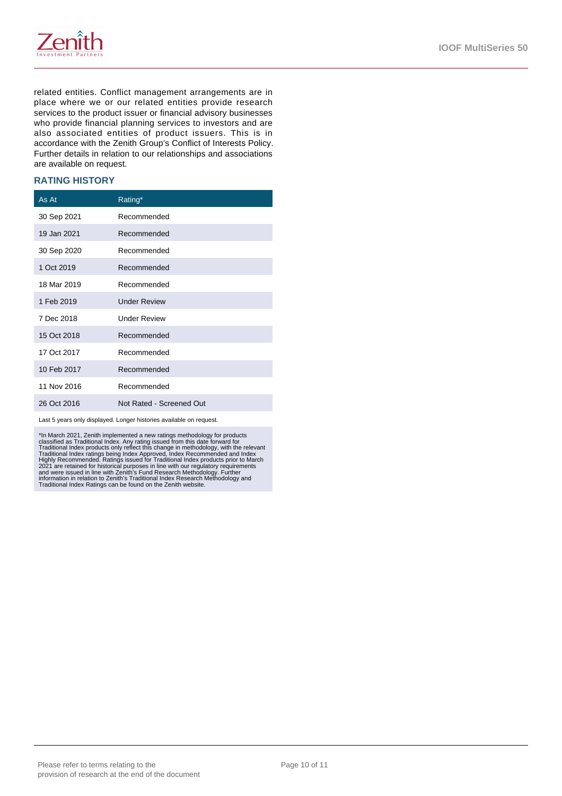

related entities. Conflict management arrangements are in place where we or our related entities provide research services to the product issuer or financial advisory businesses who provide financial planning services to investors and are also associated entities of product issuers. This is in accordance with the Zenith Group's Conflict of Interests Policy. Further details in relation to our relationships and associations are available on request.

#### **RATING HISTORY**

| As At       | Rating*                  |
|-------------|--------------------------|
| 30 Sep 2021 | Recommended              |
| 19 Jan 2021 | Recommended              |
| 30 Sep 2020 | Recommended              |
| 1 Oct 2019  | Recommended              |
| 18 Mar 2019 | Recommended              |
| 1 Feb 2019  | <b>Under Review</b>      |
| 7 Dec 2018  | <b>Under Review</b>      |
| 15 Oct 2018 | Recommended              |
| 17 Oct 2017 | Recommended              |
| 10 Feb 2017 | Recommended              |
| 11 Nov 2016 | Recommended              |
| 26 Oct 2016 | Not Rated - Screened Out |

Last 5 years only displayed. Longer histories available on request.

\*In March 2021, Zenith implemented a new ratings methodology for products<br>classified as Traditional Index. Any rating issued from this date forward for<br>Traditional Index roducts only reflect this change in methodology, wit